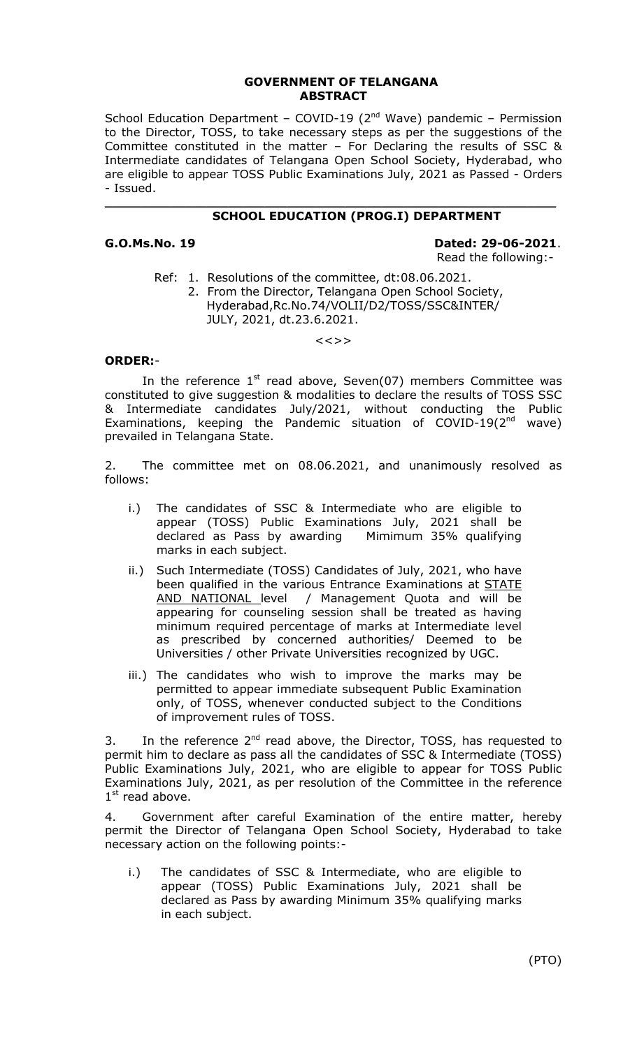## **GOVERNMENT OF TELANGANA ABSTRACT**

School Education Department – COVID-19 ( $2<sup>nd</sup>$  Wave) pandemic – Permission to the Director, TOSS, to take necessary steps as per the suggestions of the Committee constituted in the matter – For Declaring the results of SSC & Intermediate candidates of Telangana Open School Society, Hyderabad, who are eligible to appear TOSS Public Examinations July, 2021 as Passed - Orders - Issued.

#### \_\_\_\_\_\_\_\_\_\_\_\_\_\_\_\_\_\_\_\_\_\_\_\_\_\_\_\_\_\_\_\_\_\_\_\_\_\_\_\_\_\_\_\_\_\_\_\_\_\_\_\_\_\_\_\_\_\_\_\_\_\_  **SCHOOL EDUCATION (PROG.I) DEPARTMENT**

### **G.O.Ms.No. 19 Dated: 29-06-2021**. Read the following:-

- Ref: 1. Resolutions of the committee, dt:08.06.2021.
	- 2. From the Director, Telangana Open School Society, Hyderabad,Rc.No.74/VOLII/D2/TOSS/SSC&INTER/ JULY, 2021, dt.23.6.2021.

 $\lt$   $\lt$   $>$   $>$ 

# **ORDER:**-

In the reference  $1<sup>st</sup>$  read above, Seven(07) members Committee was constituted to give suggestion & modalities to declare the results of TOSS SSC & Intermediate candidates July/2021, without conducting the Public Examinations, keeping the Pandemic situation of COVID-19 $(2^{nd}$  wave) prevailed in Telangana State.

2. The committee met on 08.06.2021, and unanimously resolved as follows:

- i.) The candidates of SSC & Intermediate who are eligible to appear (TOSS) Public Examinations July, 2021 shall be declared as Pass by awarding Mimimum 35% qualifying marks in each subject.
- ii.) Such Intermediate (TOSS) Candidates of July, 2021, who have been qualified in the various Entrance Examinations at **STATE** AND NATIONAL level / Management Quota and will be appearing for counseling session shall be treated as having minimum required percentage of marks at Intermediate level as prescribed by concerned authorities/ Deemed to be Universities / other Private Universities recognized by UGC.
- iii.) The candidates who wish to improve the marks may be permitted to appear immediate subsequent Public Examination only, of TOSS, whenever conducted subject to the Conditions of improvement rules of TOSS.

3. In the reference  $2^{nd}$  read above, the Director, TOSS, has requested to permit him to declare as pass all the candidates of SSC & Intermediate (TOSS) Public Examinations July, 2021, who are eligible to appear for TOSS Public Examinations July, 2021, as per resolution of the Committee in the reference  $1<sup>st</sup>$  read above.

4. Government after careful Examination of the entire matter, hereby permit the Director of Telangana Open School Society, Hyderabad to take necessary action on the following points:-

i.) The candidates of SSC & Intermediate, who are eligible to appear (TOSS) Public Examinations July, 2021 shall be declared as Pass by awarding Minimum 35% qualifying marks in each subject.